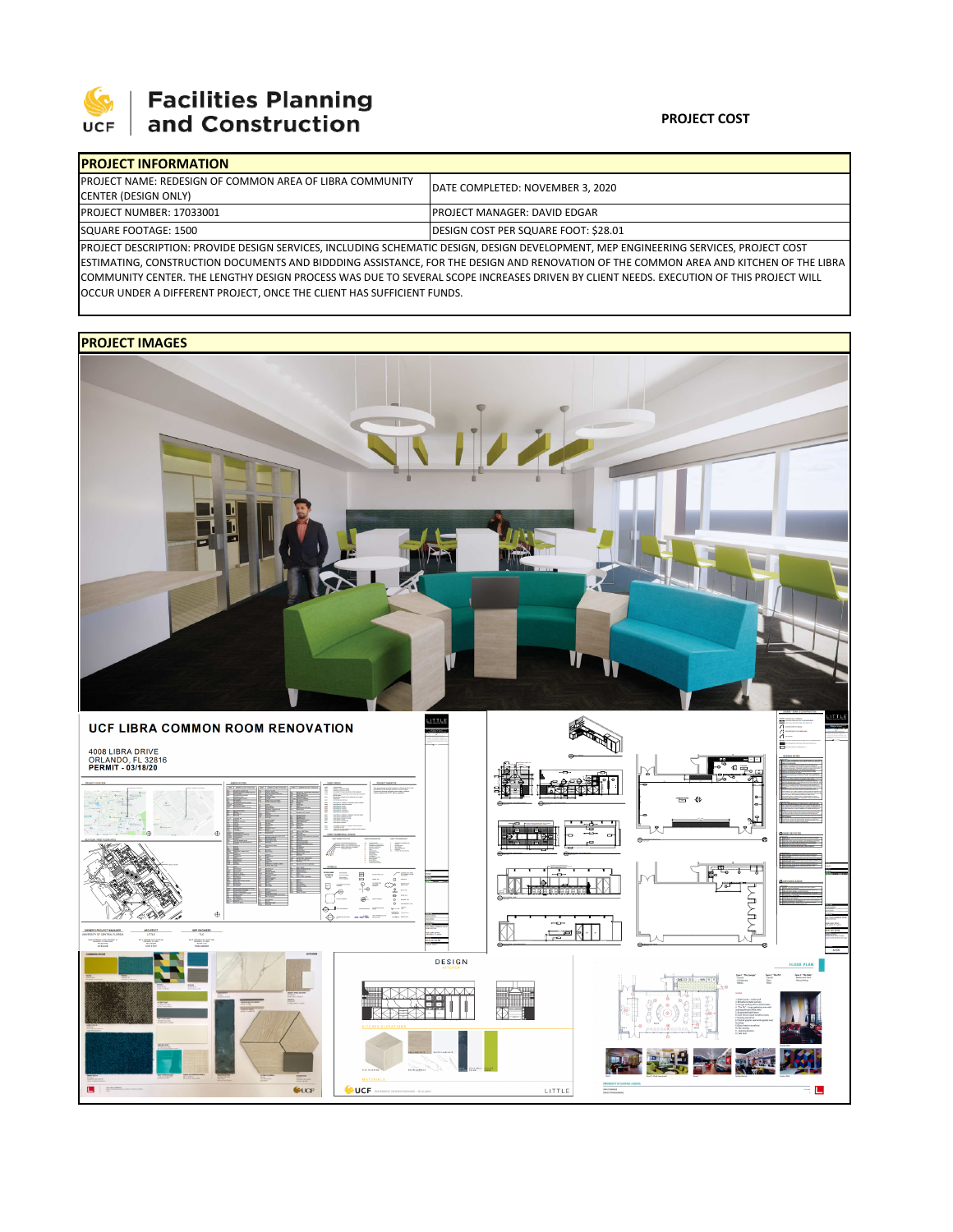

# **Facilities Planning**<br>and Construction

#### **PROJECT COST**

| <b>IPROJECT INFORMATION</b>                                                                                                          |                                      |  |  |  |
|--------------------------------------------------------------------------------------------------------------------------------------|--------------------------------------|--|--|--|
| <b>PROJECT NAME: REDESIGN OF COMMON AREA OF LIBRA COMMUNITY</b>                                                                      | DATE COMPLETED: NOVEMBER 3, 2020     |  |  |  |
| CENTER (DESIGN ONLY)                                                                                                                 |                                      |  |  |  |
| <b>PROJECT NUMBER: 17033001</b>                                                                                                      | <b>IPROJECT MANAGER: DAVID EDGAR</b> |  |  |  |
| SQUARE FOOTAGE: 1500                                                                                                                 | DESIGN COST PER SQUARE FOOT: \$28.01 |  |  |  |
| PROJECT DESCRIPTION: PROVIDE DESIGN SERVICES, INCLUDING SCHEMATIC DESIGN, DESIGN DEVELOPMENT, MEP ENGINEERING SERVICES, PROJECT COST |                                      |  |  |  |

ESTIMATING, CONSTRUCTION DOCUMENTS AND BIDDDING ASSISTANCE, FOR THE DESIGN AND RENOVATION OF THE COMMON AREA AND KITCHEN OF THE LIBRA COMMUNITY CENTER. THE LENGTHY DESIGN PROCESS WAS DUE TO SEVERAL SCOPE INCREASES DRIVEN BY CLIENT NEEDS. EXECUTION OF THIS PROJECT WILL OCCUR UNDER A DIFFERENT PROJECT, ONCE THE CLIENT HAS SUFFICIENT FUNDS.

## **PROJECT IMAGES**